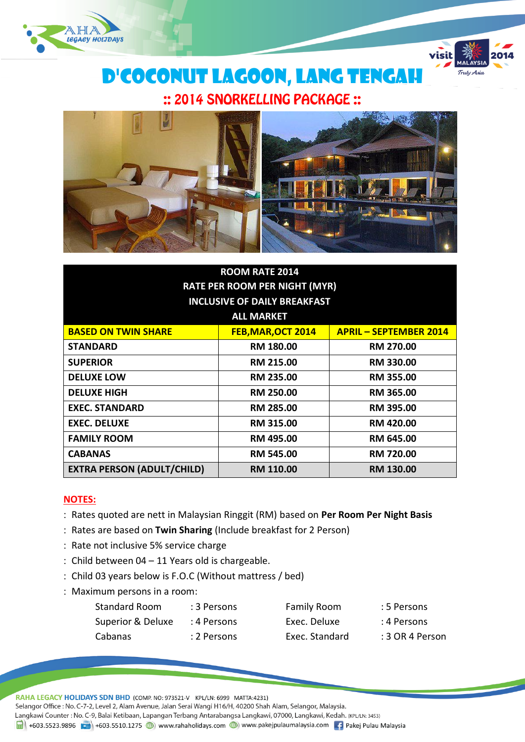



D'Coconut lagoon, Lang Tengah :: 2014 SNORKELLING PACKAGE ::



| <b>ROOM RATE 2014</b>                |                    |                               |  |
|--------------------------------------|--------------------|-------------------------------|--|
| <b>RATE PER ROOM PER NIGHT (MYR)</b> |                    |                               |  |
| <b>INCLUSIVE OF DAILY BREAKFAST</b>  |                    |                               |  |
| <b>ALL MARKET</b>                    |                    |                               |  |
| <b>BASED ON TWIN SHARE</b>           | FEB, MAR, OCT 2014 | <b>APRIL - SEPTEMBER 2014</b> |  |
| <b>STANDARD</b>                      | <b>RM 180.00</b>   | <b>RM 270.00</b>              |  |
| <b>SUPERIOR</b>                      | <b>RM 215.00</b>   | <b>RM 330.00</b>              |  |
| <b>DELUXE LOW</b>                    | <b>RM 235.00</b>   | <b>RM 355.00</b>              |  |
| <b>DELUXE HIGH</b>                   | <b>RM 250.00</b>   | RM 365.00                     |  |
| <b>EXEC. STANDARD</b>                | RM 285.00          | <b>RM 395.00</b>              |  |
| <b>EXEC. DELUXE</b>                  | <b>RM 315.00</b>   | <b>RM 420.00</b>              |  |
| <b>FAMILY ROOM</b>                   | <b>RM 495.00</b>   | RM 645.00                     |  |
| <b>CABANAS</b>                       | <b>RM 545.00</b>   | <b>RM 720.00</b>              |  |
| <b>EXTRA PERSON (ADULT/CHILD)</b>    | RM 110.00          | <b>RM 130.00</b>              |  |

### **NOTES:**

- Rates quoted are nett in Malaysian Ringgit (RM) based on **Per Room Per Night Basis**
- Rates are based on **Twin Sharing** (Include breakfast for 2 Person)
- : Rate not inclusive 5% service charge
- Child between 04 11 Years old is chargeable.
- Child 03 years below is F.O.C (Without mattress / bed)
- : Maximum persons in a room:

| Standard Room     | : 3 Persons | <b>Family Room</b> | : 5 Persons     |
|-------------------|-------------|--------------------|-----------------|
| Superior & Deluxe | : 4 Persons | Exec. Deluxe       | : 4 Persons     |
| Cabanas           | : 2 Persons | Exec. Standard     | : 3 OR 4 Person |

RAHA LEGACY HOLIDAYS SDN BHD (COMP. NO: 973521-V KPL/LN: 6999 MATTA:4231)

Selangor Office : No. C-7-2, Level 2, Alam Avenue, Jalan Serai Wangi H16/H, 40200 Shah Alam, Selangor, Malaysia.

Langkawi Counter: No. C-9, Balai Ketibaan, Lapangan Terbang Antarabangsa Langkawi, 07000, Langkawi, Kedah. (KPL/LN: 3453) 1988 +603.5523.9896 + +603.5510.1275 + +603.5510.1275 + +603.5510.1275 + +603.5510.1275 + +603.5510.1275 + +603.5510.1275 + +603.5510.1275 + +603.5510.1275 + +603.5510.1275 + +603.5510.1275 + +603.5510.1275 + +603.5510.127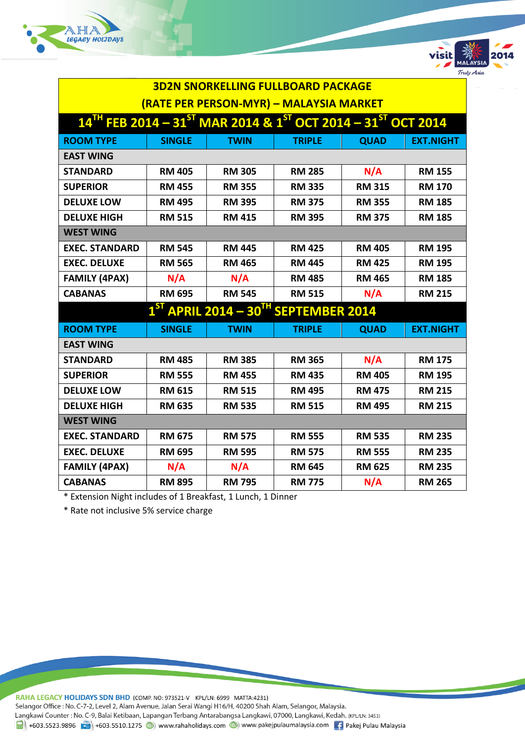



| <b>3D2N SNORKELLING FULLBOARD PACKAGE</b>                                                             |               |               |                                         |               |                  |
|-------------------------------------------------------------------------------------------------------|---------------|---------------|-----------------------------------------|---------------|------------------|
|                                                                                                       |               |               | (RATE PER PERSON-MYR) - MALAYSIA MARKET |               |                  |
| $14^{TH}$ FEB 2014 – 31 <sup>ST</sup> MAR 2014 & 1 <sup>ST</sup> OCT 2014 – 31 <sup>ST</sup> OCT 2014 |               |               |                                         |               |                  |
| <b>ROOM TYPE</b>                                                                                      | <b>SINGLE</b> | <b>TWIN</b>   | <b>TRIPLE</b>                           | <b>QUAD</b>   | <b>EXT.NIGHT</b> |
| <b>EAST WING</b>                                                                                      |               |               |                                         |               |                  |
| <b>STANDARD</b>                                                                                       | <b>RM 405</b> | <b>RM 305</b> | <b>RM 285</b>                           | N/A           | <b>RM 155</b>    |
| <b>SUPERIOR</b>                                                                                       | <b>RM 455</b> | <b>RM 355</b> | <b>RM 335</b>                           | <b>RM 315</b> | <b>RM 170</b>    |
| <b>DELUXE LOW</b>                                                                                     | <b>RM 495</b> | <b>RM 395</b> | <b>RM 375</b>                           | <b>RM 355</b> | <b>RM 185</b>    |
| <b>DELUXE HIGH</b>                                                                                    | <b>RM 515</b> | <b>RM 415</b> | <b>RM 395</b>                           | <b>RM 375</b> | <b>RM 185</b>    |
| <b>WEST WING</b>                                                                                      |               |               |                                         |               |                  |
| <b>EXEC. STANDARD</b>                                                                                 | <b>RM 545</b> | <b>RM 445</b> | <b>RM 425</b>                           | <b>RM 405</b> | <b>RM 195</b>    |
| <b>EXEC. DELUXE</b>                                                                                   | <b>RM 565</b> | <b>RM 465</b> | <b>RM 445</b>                           | <b>RM 425</b> | <b>RM 195</b>    |
| <b>FAMILY (4PAX)</b>                                                                                  | N/A           | N/A           | <b>RM 485</b>                           | <b>RM 465</b> | <b>RM 185</b>    |
| <b>CABANAS</b>                                                                                        | <b>RM 695</b> | <b>RM 545</b> | <b>RM 515</b>                           | N/A           | <b>RM 215</b>    |
| $1^{ST}$ APRIL 2014 – 30 <sup>TH</sup> SEPTEMBER 2014                                                 |               |               |                                         |               |                  |
| <b>ROOM TYPE</b>                                                                                      | <b>SINGLE</b> | <b>TWIN</b>   | <b>TRIPLE</b>                           | <b>QUAD</b>   | <b>EXT.NIGHT</b> |
| <b>EAST WING</b>                                                                                      |               |               |                                         |               |                  |
| <b>STANDARD</b>                                                                                       | <b>RM 485</b> | <b>RM 385</b> | <b>RM 365</b>                           | N/A           | <b>RM 175</b>    |
| <b>SUPERIOR</b>                                                                                       | <b>RM 555</b> | <b>RM 455</b> | <b>RM 435</b>                           | <b>RM 405</b> | <b>RM 195</b>    |
| <b>DELUXE LOW</b>                                                                                     | <b>RM 615</b> | <b>RM 515</b> | <b>RM 495</b>                           | <b>RM 475</b> | <b>RM 215</b>    |
| <b>DELUXE HIGH</b>                                                                                    | <b>RM 635</b> | <b>RM 535</b> | <b>RM 515</b>                           | <b>RM 495</b> | <b>RM 215</b>    |
| <b>WEST WING</b>                                                                                      |               |               |                                         |               |                  |
| <b>EXEC. STANDARD</b>                                                                                 | <b>RM 675</b> | <b>RM 575</b> | <b>RM 555</b>                           | <b>RM 535</b> | <b>RM 235</b>    |
| <b>EXEC. DELUXE</b>                                                                                   | <b>RM 695</b> | <b>RM 595</b> | <b>RM 575</b>                           | <b>RM 555</b> | <b>RM 235</b>    |
| <b>FAMILY (4PAX)</b>                                                                                  | N/A           | N/A           | <b>RM 645</b>                           | <b>RM 625</b> | <b>RM 235</b>    |
| <b>CABANAS</b>                                                                                        | <b>RM 895</b> | <b>RM 795</b> | <b>RM 775</b>                           | N/A           | <b>RM 265</b>    |

\* Extension Night includes of 1 Breakfast, 1 Lunch, 1 Dinner

\* Rate not inclusive 5% service charge

RAHA LEGACY HOLIDAYS SDN BHD (COMP. NO: 973521-V KPL/LN: 6999 MATTA:4231)

Selangor Office : No. C-7-2, Level 2, Alam Avenue, Jalan Serai Wangi H16/H, 40200 Shah Alam, Selangor, Malaysia.

Langkawi Counter: No. C-9, Balai Ketibaan, Lapangan Terbang Antarabangsa Langkawi, 07000, Langkawi, Kedah. (KPL/LN: 3453)

 $\frac{1}{\text{H}}$  +603.5523.9896 +603.5510.1275 +603.5510.1275 + www.rahaholidays.com + www.pakejpulaumalaysia.com + Pakej Pulau Malaysia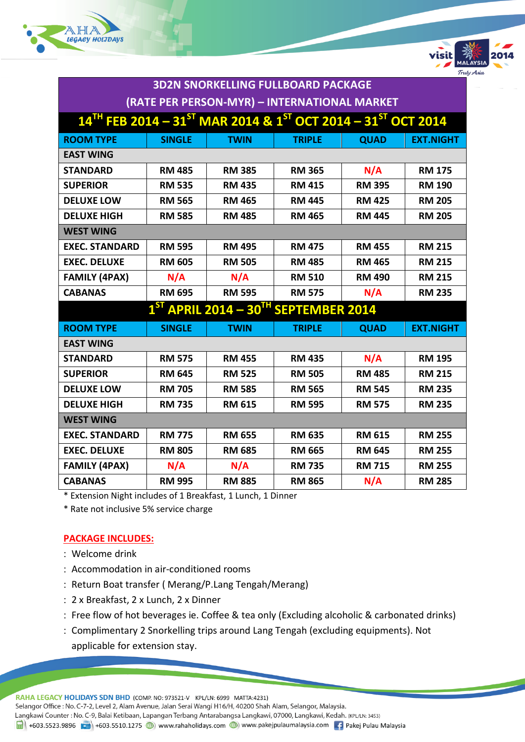



|                                                                                                       | <b>3D2N SNORKELLING FULLBOARD PACKAGE</b> |                                              |               |               |                  |
|-------------------------------------------------------------------------------------------------------|-------------------------------------------|----------------------------------------------|---------------|---------------|------------------|
|                                                                                                       |                                           | (RATE PER PERSON-MYR) - INTERNATIONAL MARKET |               |               |                  |
| $14^{TH}$ FEB 2014 - 31 <sup>ST</sup> MAR 2014 & 1 <sup>ST</sup> OCT 2014 - 31 <sup>ST</sup> OCT 2014 |                                           |                                              |               |               |                  |
| <b>ROOM TYPE</b>                                                                                      | <b>SINGLE</b>                             | <b>TWIN</b>                                  | <b>TRIPLE</b> | <b>QUAD</b>   | <b>EXT.NIGHT</b> |
| <b>EAST WING</b>                                                                                      |                                           |                                              |               |               |                  |
| <b>STANDARD</b>                                                                                       | <b>RM 485</b>                             | <b>RM 385</b>                                | <b>RM 365</b> | N/A           | <b>RM 175</b>    |
| <b>SUPERIOR</b>                                                                                       | <b>RM 535</b>                             | <b>RM 435</b>                                | <b>RM 415</b> | <b>RM 395</b> | <b>RM 190</b>    |
| <b>DELUXE LOW</b>                                                                                     | <b>RM 565</b>                             | <b>RM 465</b>                                | <b>RM 445</b> | <b>RM 425</b> | <b>RM 205</b>    |
| <b>DELUXE HIGH</b>                                                                                    | <b>RM 585</b>                             | <b>RM 485</b>                                | <b>RM 465</b> | <b>RM 445</b> | <b>RM 205</b>    |
| <b>WEST WING</b>                                                                                      |                                           |                                              |               |               |                  |
| <b>EXEC. STANDARD</b>                                                                                 | <b>RM 595</b>                             | <b>RM 495</b>                                | <b>RM 475</b> | <b>RM 455</b> | <b>RM 215</b>    |
| <b>EXEC. DELUXE</b>                                                                                   | <b>RM 605</b>                             | <b>RM 505</b>                                | <b>RM 485</b> | <b>RM 465</b> | <b>RM 215</b>    |
| <b>FAMILY (4PAX)</b>                                                                                  | N/A                                       | N/A                                          | <b>RM 510</b> | <b>RM 490</b> | <b>RM 215</b>    |
| <b>CABANAS</b>                                                                                        | <b>RM 695</b>                             | <b>RM 595</b>                                | <b>RM 575</b> | N/A           | <b>RM 235</b>    |
| $1ST$ APRIL 2014 – 30 <sup>TH</sup> SEPTEMBER 2014                                                    |                                           |                                              |               |               |                  |
| <b>ROOM TYPE</b>                                                                                      | <b>SINGLE</b>                             | <b>TWIN</b>                                  | <b>TRIPLE</b> | <b>QUAD</b>   | <b>EXT.NIGHT</b> |
| <b>EAST WING</b>                                                                                      |                                           |                                              |               |               |                  |
| <b>STANDARD</b>                                                                                       | <b>RM 575</b>                             | <b>RM 455</b>                                | <b>RM 435</b> | N/A           | <b>RM 195</b>    |
| <b>SUPERIOR</b>                                                                                       | <b>RM 645</b>                             | <b>RM 525</b>                                | <b>RM 505</b> | <b>RM 485</b> | <b>RM 215</b>    |
| <b>DELUXE LOW</b>                                                                                     | <b>RM 705</b>                             | <b>RM 585</b>                                | <b>RM 565</b> | <b>RM 545</b> | <b>RM 235</b>    |
| <b>DELUXE HIGH</b>                                                                                    | <b>RM 735</b>                             | <b>RM 615</b>                                | <b>RM 595</b> | <b>RM 575</b> | <b>RM 235</b>    |
| <b>WEST WING</b>                                                                                      |                                           |                                              |               |               |                  |
| <b>EXEC. STANDARD</b>                                                                                 | <b>RM 775</b>                             | <b>RM 655</b>                                | <b>RM 635</b> | <b>RM 615</b> | <b>RM 255</b>    |
| <b>EXEC. DELUXE</b>                                                                                   | <b>RM 805</b>                             | <b>RM 685</b>                                | <b>RM 665</b> | <b>RM 645</b> | <b>RM 255</b>    |
| <b>FAMILY (4PAX)</b>                                                                                  | N/A                                       | N/A                                          | <b>RM 735</b> | <b>RM 715</b> | <b>RM 255</b>    |
| <b>CABANAS</b>                                                                                        | <b>RM 995</b>                             | <b>RM 885</b>                                | <b>RM 865</b> | N/A           | <b>RM 285</b>    |

\* Extension Night includes of 1 Breakfast, 1 Lunch, 1 Dinner

\* Rate not inclusive 5% service charge

### **PACKAGE INCLUDES:**

- Welcome drink
- Accommodation in air-conditioned rooms
- : Return Boat transfer (Merang/P.Lang Tengah/Merang)
- 2 x Breakfast, 2 x Lunch, 2 x Dinner
- Free flow of hot beverages ie. Coffee & tea only (Excluding alcoholic & carbonated drinks)
- Complimentary 2 Snorkelling trips around Lang Tengah (excluding equipments). Not applicable for extension stay.

RAHA LEGACY HOLIDAYS SDN BHD (COMP. NO: 973521-V KPL/LN: 6999 MATTA:4231) Selangor Office : No. C-7-2, Level 2, Alam Avenue, Jalan Serai Wangi H16/H, 40200 Shah Alam, Selangor, Malaysia. Langkawi Counter: No. C-9, Balai Ketibaan, Lapangan Terbang Antarabangsa Langkawi, 07000, Langkawi, Kedah. (KPL/LN: 3453) 1988 +603.5523.9896 + +603.5510.1275 + +603.5510.1275 + +603.5510.1275 + +603.5510.1275 + +603.5510.1275 + +603.5510.1275 + +603.5510.1275 + +603.5510.1275 + +603.5510.1275 + +603.5510.1275 + +603.5510.1275 + +603.5510.127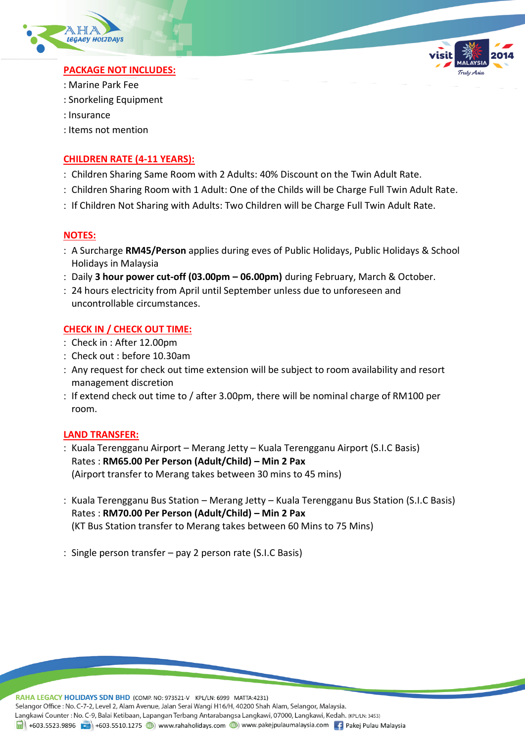



## **PACKAGE NOT INCLUDES:**

- : Marine Park Fee
- : Snorkeling Equipment
- : Insurance
- : Items not mention

# **CHILDREN RATE (4-11 YEARS):**

- Children Sharing Same Room with 2 Adults: 40% Discount on the Twin Adult Rate.
- Children Sharing Room with 1 Adult: One of the Childs will be Charge Full Twin Adult Rate.
- : If Children Not Sharing with Adults: Two Children will be Charge Full Twin Adult Rate.

## **NOTES:**

- A Surcharge **RM45/Person** applies during eves of Public Holidays, Public Holidays & School Holidays in Malaysia
- Daily **3 hour power cut-off (03.00pm – 06.00pm)** during February, March & October.
- 24 hours electricity from April until September unless due to unforeseen and uncontrollable circumstances.

## **CHECK IN / CHECK OUT TIME:**

- Check in : After 12.00pm
- Check out : before 10.30am
- Any request for check out time extension will be subject to room availability and resort management discretion
- : If extend check out time to / after 3.00pm, there will be nominal charge of RM100 per room.

### **LAND TRANSFER:**

- : Kuala Terengganu Airport Merang Jetty Kuala Terengganu Airport (S.I.C Basis) Rates : **RM65.00 Per Person (Adult/Child) – Min 2 Pax** (Airport transfer to Merang takes between 30 mins to 45 mins)
- : Kuala Terengganu Bus Station Merang Jetty Kuala Terengganu Bus Station (S.I.C Basis) Rates : **RM70.00 Per Person (Adult/Child) – Min 2 Pax** (KT Bus Station transfer to Merang takes between 60 Mins to 75 Mins)
- Single person transfer pay 2 person rate (S.I.C Basis)

RAHA LEGACY HOLIDAYS SDN BHD (COMP. NO: 973521-V KPL/LN: 6999 MATTA:4231) Selangor Office: No. C-7-2, Level 2, Alam Avenue, Jalan Serai Wangi H16/H, 40200 Shah Alam, Selangor, Malaysia. Langkawi Counter: No. C-9, Balai Ketibaan, Lapangan Terbang Antarabangsa Langkawi, 07000, Langkawi, Kedah. (KPL/LN: 3453) 1 +603.5523.9896 + +603.5510.1275 (b) www.rahaholidays.com (b) www.pakejpulaumalaysia.com + Pakej Pulau Malaysia